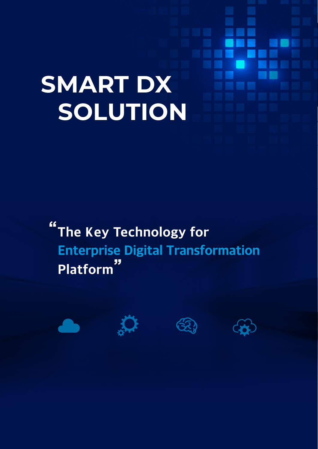# **SMART DX SOLUTION**

"The Key Technology for Enterprise Digital Transformation Platform"

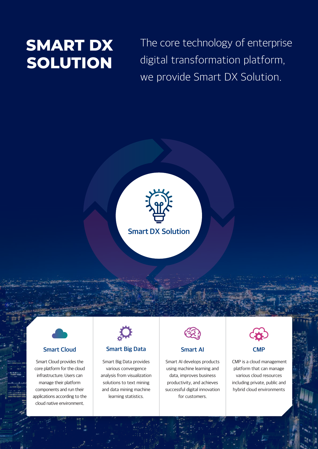### **SMART DX SOLUTION**

The core technology of enterprise digital transformation platform, we provide Smart DX Solution.





#### Smart Cloud

Smart Cloud provides the core platform for the cloud infrastructure. Users can manage their platform components and run their applications according to the cloud native environment.



#### Smart Big Data

Smart Big Data provides various convergence analysis from visualization solutions to text mining and data mining machine learning statistics.



#### Smart AI

Smart AI develops products using machine learning and data, improves business productivity, and achieves successful digital innovation for customers.



 CMP is a cloud management platform that can manage various cloud resources including private, public and hybrid cloud environments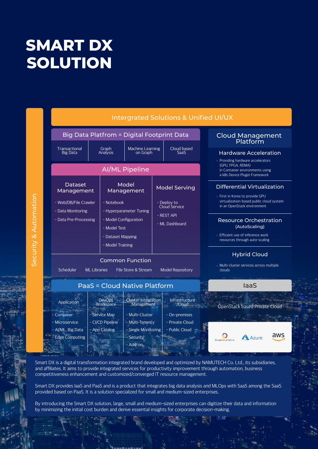## **SMART DX SOLUTION**

|                       |  | Intergrated Solutions & Unified UI/UX                        |                                                                      |                                                                                                                                                |                                                                           |                                                                                                                         |      |                                                                                       |  |
|-----------------------|--|--------------------------------------------------------------|----------------------------------------------------------------------|------------------------------------------------------------------------------------------------------------------------------------------------|---------------------------------------------------------------------------|-------------------------------------------------------------------------------------------------------------------------|------|---------------------------------------------------------------------------------------|--|
|                       |  | <b>Big Data Platfrom = Digital Footprint Data</b>            |                                                                      |                                                                                                                                                |                                                                           |                                                                                                                         |      | <b>Cloud Management</b><br>Platform                                                   |  |
|                       |  | Transactional<br><b>Big Data</b>                             | Graph<br>Analysis                                                    | <b>Machine Learning</b><br>on Graph                                                                                                            |                                                                           | Cloud based<br>SaaS                                                                                                     |      | <b>Hardware Acceleration</b><br>- Providing hardware accelerators                     |  |
|                       |  | <b>AI/ML Pipeline</b>                                        |                                                                      |                                                                                                                                                |                                                                           |                                                                                                                         |      | (GPU, FPGA, RDMA)<br>in Container environments using<br>a k8s Device Plugin Framework |  |
| Security & Automation |  | Dataset<br>Management                                        |                                                                      | Model<br>Management<br>- Notebook<br>- Hyperparameter Tuning<br>- Model Configuration<br>- Model Test<br>- Dataset Mapping<br>- Model Training |                                                                           | <b>Model Serving</b><br>- First in Korea to provide GPU<br>- Deploy to<br>Cloud Service<br>- REST API<br>- ML Dashboard |      | <b>Differential Virtualization</b>                                                    |  |
|                       |  | - Web/DB/File Crawler<br>- Data Monitoring                   |                                                                      |                                                                                                                                                |                                                                           |                                                                                                                         |      | virtualization-based public cloud system<br>in an OpenStack environment               |  |
|                       |  | - Data Pre-Processing                                        |                                                                      |                                                                                                                                                |                                                                           |                                                                                                                         |      | <b>Resource Orchestration</b><br>(AutoScaling)                                        |  |
|                       |  |                                                              |                                                                      |                                                                                                                                                |                                                                           |                                                                                                                         |      | - Efficient use of inference work<br>resources through auto-scaling                   |  |
|                       |  | Scheduler                                                    | <b>Common Function</b><br><b>ML Libraries</b><br>File Store & Stream |                                                                                                                                                | <b>Hybrid Cloud</b><br>- Multi-cluster services across multiple<br>clouds |                                                                                                                         |      |                                                                                       |  |
|                       |  |                                                              | PaaS = Cloud Native Platform                                         |                                                                                                                                                |                                                                           |                                                                                                                         | laaS |                                                                                       |  |
|                       |  | Application<br>- Container                                   | <b>DevOps</b><br>Workspace<br>- Service Map                          | <b>Cluster Integration</b><br>Management<br>- Multi-Cluster                                                                                    |                                                                           | Infrastructure<br>/Cloud<br>- On-premises                                                                               |      | OpenStack based Private Cloud                                                         |  |
|                       |  | - Microservice<br>- Al/ML, Big Data<br><b>Edge Computing</b> | - CI/CD Pipeline<br>- App Catalog                                    | - Multi-Tenancy<br>- Single Monitoring<br><b>Security</b><br>- Add-on                                                                          |                                                                           | - Private Cloud<br>- Public Cloud                                                                                       |      | aws<br>A Azure<br>Google Cloud Platform                                               |  |

Smart DX is a digital transformation integrated brand developed and optimized by NAMUTECH Co. Ltd., its subsidiaries, and affiliates. It aims to provide integrated services for productivity improvement through automation, business competitiveness enhancement and customized/converged IT resource management.

Smart DX provides IaaS and PaaS and is a product that integrates big data analysis and MLOps with SaaS among the SaaS provided based on PaaS. It is a solution specialized for small and medium-sized enterprises.

By introducing the Smart DX solution, large, small and medium-sized enterprises can digitize their data and information by minimizing the initial cost burden and derive essential insights for corporate decision-making.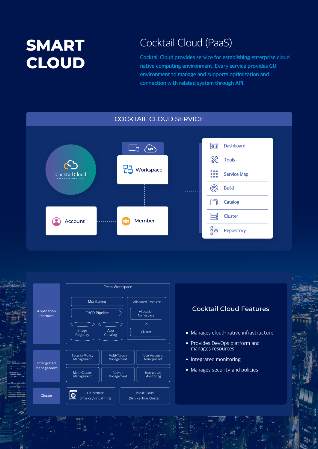## **SMART CLOUD**

### Cocktail Cloud (PaaS)

Cocktail Cloud provides service for establishing enterprise cloud native computing environment. Every service provides GUI environment to manage and supports optimization and connection with related system through API.



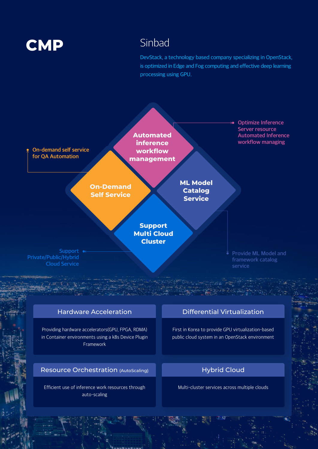### **CMP** Sinbad

DevStack, a technology based company specializing in OpenStack, is optimized in Edge and Fog computing and effective deep learning processing using GPU.



#### Hardware Acceleration

Providing hardware accelerators(GPU, FPGA, RDMA) in Container environments using a k8s Device Plugin Framework

Resource Orchestration (AutoScaling)

Efficient use of inference work resources through auto-scaling

#### Differential Virtualization

First in Korea to provide GPU virtualization-based public cloud system in an OpenStack environment

#### Hybrid Cloud

Multi-cluster services across multiple clouds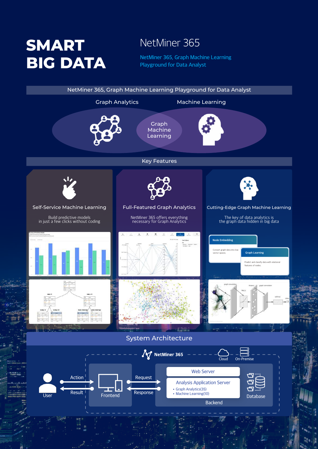## **SMART BIG DATA** NetMiner 365, Graph Machine Learning

### NetMiner 365

Playground for Data Analyst

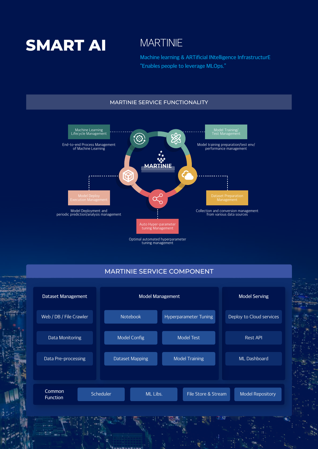

Machine learning & ARTificial INtelligence InfrastructurE "Enables people to leverage MLOps."

#### MARTINIE SERVICE FUNCTIONALITY



#### MARTINIE SERVICE COMPONENT